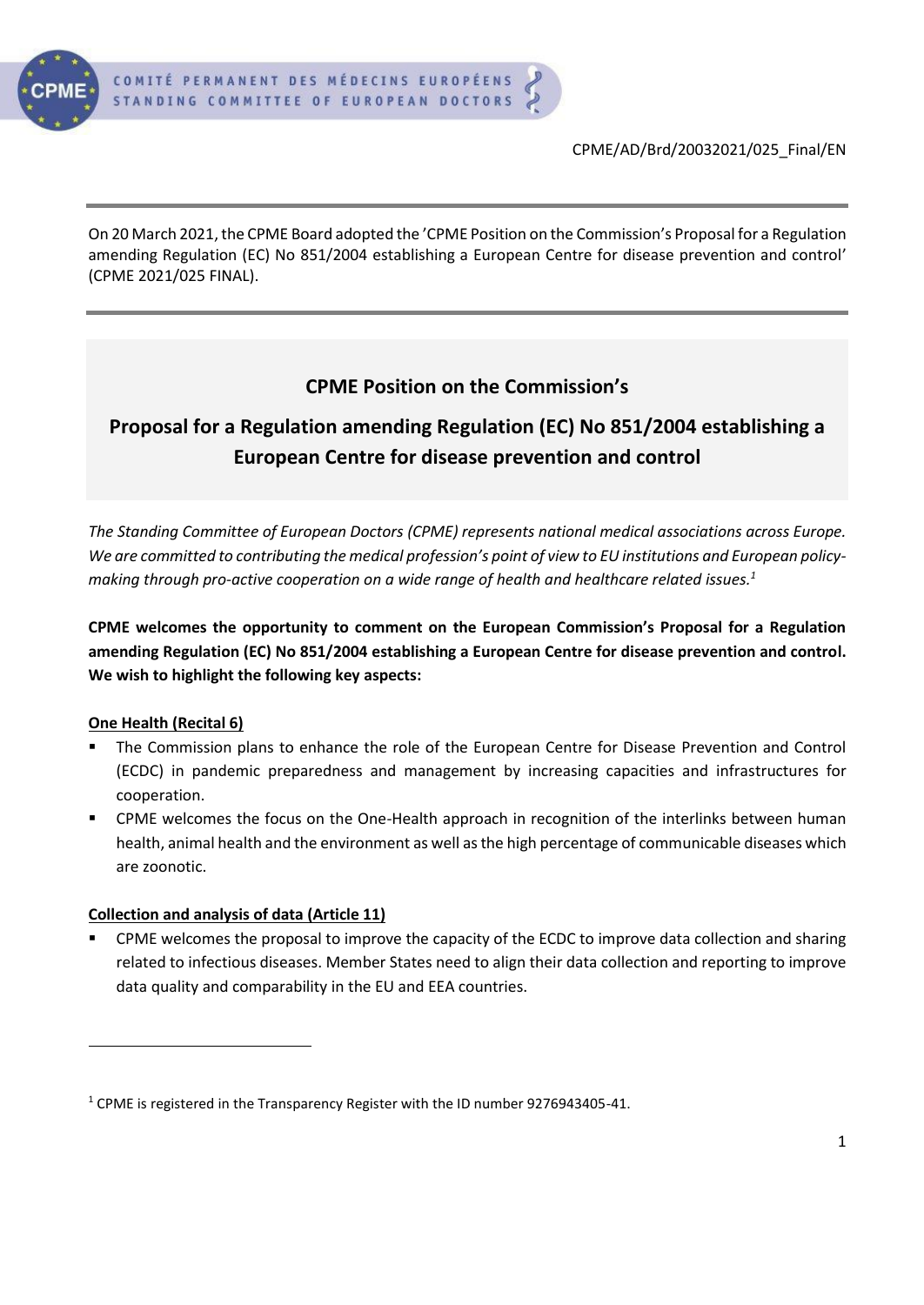

On 20 March 2021, the CPME Board adopted the 'CPME Position on the Commission's Proposal for a Regulation amending Regulation (EC) No 851/2004 establishing a European Centre for disease prevention and control' (CPME 2021/025 FINAL).

# **CPME Position on the Commission's**

# **Proposal for a Regulation amending Regulation (EC) No 851/2004 establishing a European Centre for disease prevention and control**

*The Standing Committee of European Doctors (CPME) represents national medical associations across Europe. We are committed to contributing the medical profession's point of view to EU institutions and European policymaking through pro-active cooperation on a wide range of health and healthcare related issues.<sup>1</sup>*

**CPME welcomes the opportunity to comment on the European Commission's Proposal for a Regulation amending Regulation (EC) No 851/2004 establishing a European Centre for disease prevention and control. We wish to highlight the following key aspects:**

## **One Health (Recital 6)**

- The Commission plans to enhance the role of the European Centre for Disease Prevention and Control (ECDC) in pandemic preparedness and management by increasing capacities and infrastructures for cooperation.
- **•** CPME welcomes the focus on the One-Health approach in recognition of the interlinks between human health, animal health and the environment as well as the high percentage of communicable diseases which are zoonotic.

#### **Collection and analysis of data (Article 11)**

CPME welcomes the proposal to improve the capacity of the ECDC to improve data collection and sharing related to infectious diseases. Member States need to align their data collection and reporting to improve data quality and comparability in the EU and EEA countries.

<sup>1</sup> CPME is registered in the Transparency Register with the ID number 9276943405-41.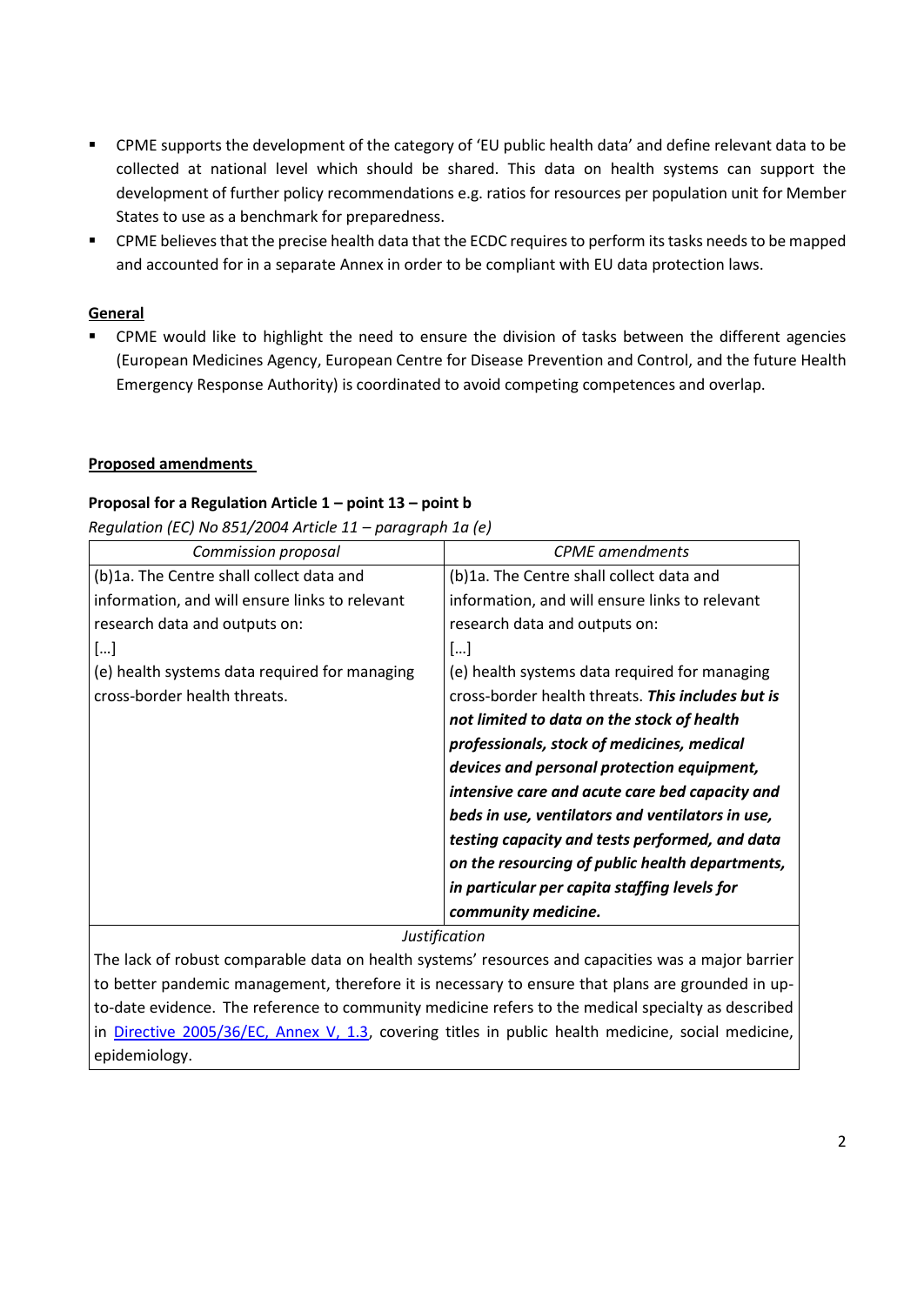- CPME supports the development of the category of 'EU public health data' and define relevant data to be collected at national level which should be shared. This data on health systems can support the development of further policy recommendations e.g. ratios for resources per population unit for Member States to use as a benchmark for preparedness.
- CPME believes that the precise health data that the ECDC requires to perform its tasks needs to be mapped and accounted for in a separate Annex in order to be compliant with EU data protection laws.

#### **General**

■ CPME would like to highlight the need to ensure the division of tasks between the different agencies (European Medicines Agency, European Centre for Disease Prevention and Control, and the future Health Emergency Response Authority) is coordinated to avoid competing competences and overlap.

#### **Proposed amendments**

#### **Proposal for a Regulation Article 1 – point 13 – point b**

*Regulation (EC) No 851/2004 Article 11 – paragraph 1a (e)*

| Commission proposal                            | <b>CPME</b> amendments                            |
|------------------------------------------------|---------------------------------------------------|
| (b)1a. The Centre shall collect data and       | (b)1a. The Centre shall collect data and          |
| information, and will ensure links to relevant | information, and will ensure links to relevant    |
| research data and outputs on:                  | research data and outputs on:                     |
| []                                             | []                                                |
| (e) health systems data required for managing  | (e) health systems data required for managing     |
| cross-border health threats.                   | cross-border health threats. This includes but is |
|                                                | not limited to data on the stock of health        |
|                                                | professionals, stock of medicines, medical        |
|                                                | devices and personal protection equipment,        |
|                                                | intensive care and acute care bed capacity and    |
|                                                | beds in use, ventilators and ventilators in use,  |
|                                                | testing capacity and tests performed, and data    |
|                                                | on the resourcing of public health departments,   |
|                                                | in particular per capita staffing levels for      |
|                                                | community medicine.                               |

*Justification*

The lack of robust comparable data on health systems' resources and capacities was a major barrier to better pandemic management, therefore it is necessary to ensure that plans are grounded in upto-date evidence. The reference to community medicine refers to the medical specialty as described in [Directive 2005/36/EC, Annex V, 1.3,](https://eur-lex.europa.eu/legal-content/EN/TXT/?uri=CELEX:02005L0036-20160524) covering titles in public health medicine, social medicine, epidemiology.